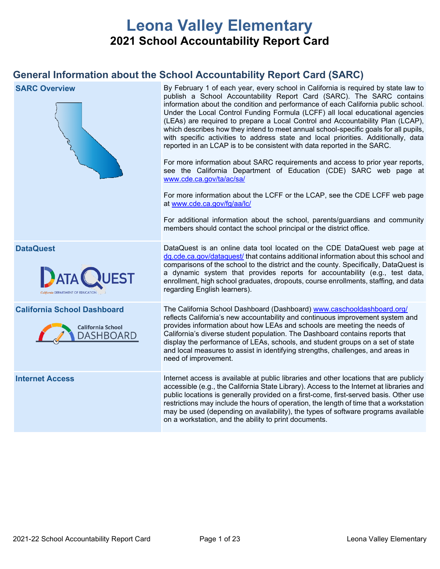# **Leona Valley Elementary 2021 School Accountability Report Card**

## **General Information about the School Accountability Report Card (SARC)**

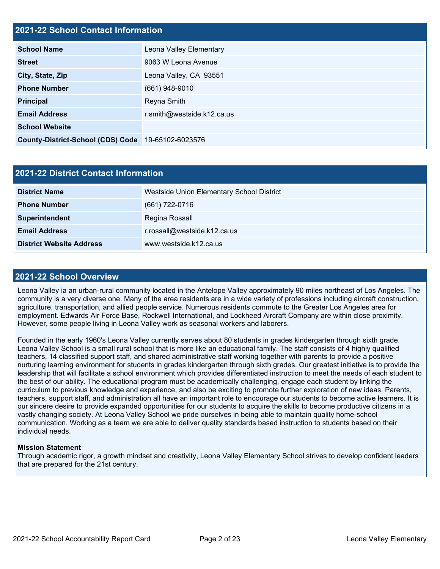## **2021-22 School Contact Information**

| <b>School Name</b>                                 | Leona Valley Elementary    |  |  |  |  |
|----------------------------------------------------|----------------------------|--|--|--|--|
| <b>Street</b>                                      | 9063 W Leona Avenue        |  |  |  |  |
| City, State, Zip                                   | Leona Valley, CA 93551     |  |  |  |  |
| <b>Phone Number</b>                                | $(661)$ 948-9010           |  |  |  |  |
| <b>Principal</b>                                   | Reyna Smith                |  |  |  |  |
| <b>Email Address</b>                               | r.smith@westside.k12.ca.us |  |  |  |  |
| <b>School Website</b>                              |                            |  |  |  |  |
| County-District-School (CDS) Code 19-65102-6023576 |                            |  |  |  |  |

| <b>2021-22 District Contact Information</b> |                                           |  |  |  |  |
|---------------------------------------------|-------------------------------------------|--|--|--|--|
| <b>District Name</b>                        | Westside Union Elementary School District |  |  |  |  |
| <b>Phone Number</b>                         | (661) 722-0716                            |  |  |  |  |
| Superintendent                              | Regina Rossall                            |  |  |  |  |
| <b>Email Address</b>                        | r.rossall@westside.k12.ca.us              |  |  |  |  |
| <b>District Website Address</b>             | www.westside.k12.ca.us                    |  |  |  |  |

### **2021-22 School Overview**

Leona Valley ia an urban-rural community located in the Antelope Valley approximately 90 miles northeast of Los Angeles. The community is a very diverse one. Many of the area residents are in a wide variety of professions including aircraft construction, agriculture, transportation, and allied people service. Numerous residents commute to the Greater Los Angeles area for employment. Edwards Air Force Base, Rockwell International, and Lockheed Aircraft Company are within close proximity. However, some people living in Leona Valley work as seasonal workers and laborers.

Founded in the early 1960's Leona Valley currently serves about 80 students in grades kindergarten through sixth grade. Leona Valley School is a small rural school that is more like an educational family. The staff consists of 4 highly qualified teachers, 14 classified support staff, and shared administrative staff working together with parents to provide a positive nurturing learning environment for students in grades kindergarten through sixth grades. Our greatest initiative is to provide the leadership that will facilitate a school environment which provides differentiated instruction to meet the needs of each student to the best of our ability. The educational program must be academically challenging, engage each student by linking the curriculum to previous knowledge and experience, and also be exciting to promote further exploration of new ideas. Parents, teachers, support staff, and administration all have an important role to encourage our students to become active learners. It is our sincere desire to provide expanded opportunities for our students to acquire the skills to become productive citizens in a vastly changing society. At Leona Valley School we pride ourselves in being able to maintain quality home-school communication. Working as a team we are able to deliver quality standards based instruction to students based on their individual needs.

#### **Mission Statement**

Through academic rigor, a growth mindset and creativity, Leona Valley Elementary School strives to develop confident leaders that are prepared for the 21st century.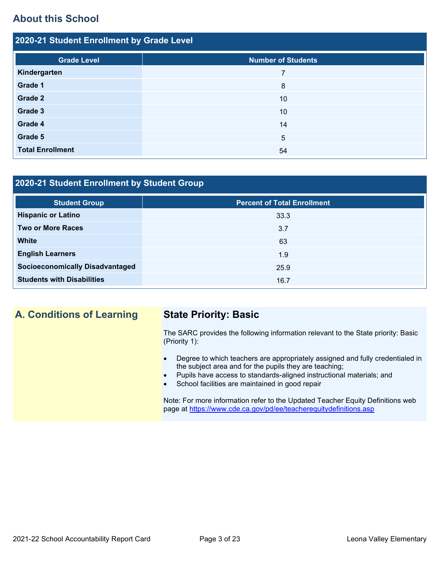## **About this School**

| 2020-21 Student Enrollment by Grade Level |                           |  |  |  |  |  |
|-------------------------------------------|---------------------------|--|--|--|--|--|
| <b>Grade Level</b>                        | <b>Number of Students</b> |  |  |  |  |  |
| Kindergarten                              | 7                         |  |  |  |  |  |
| Grade 1                                   | 8                         |  |  |  |  |  |
| Grade 2                                   | 10                        |  |  |  |  |  |
| Grade 3                                   | 10                        |  |  |  |  |  |
| Grade 4                                   | 14                        |  |  |  |  |  |
| Grade 5                                   | 5                         |  |  |  |  |  |
| <b>Total Enrollment</b>                   | 54                        |  |  |  |  |  |

## **2020-21 Student Enrollment by Student Group**

| <b>Student Group</b>                   | <b>Percent of Total Enrollment</b> |
|----------------------------------------|------------------------------------|
| <b>Hispanic or Latino</b>              | 33.3                               |
| <b>Two or More Races</b>               | 3.7                                |
| <b>White</b>                           | 63                                 |
| <b>English Learners</b>                | 1.9                                |
| <b>Socioeconomically Disadvantaged</b> | 25.9                               |
| <b>Students with Disabilities</b>      | 16.7                               |

## **A. Conditions of Learning State Priority: Basic**

The SARC provides the following information relevant to the State priority: Basic (Priority 1):

- Degree to which teachers are appropriately assigned and fully credentialed in the subject area and for the pupils they are teaching;
- Pupils have access to standards-aligned instructional materials; and
- School facilities are maintained in good repair

Note: For more information refer to the Updated Teacher Equity Definitions web page at<https://www.cde.ca.gov/pd/ee/teacherequitydefinitions.asp>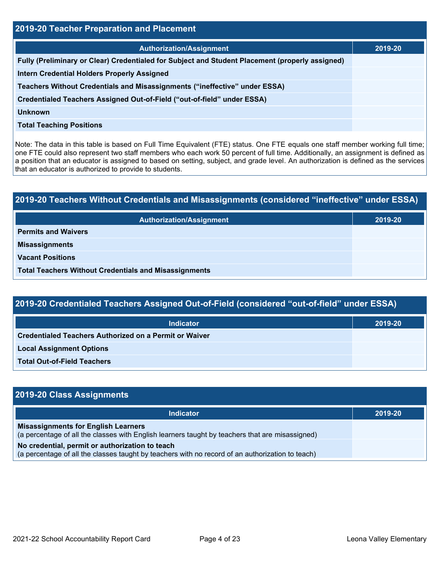| <b>2019-20 Teacher Preparation and Placement</b>                                                |         |  |  |  |  |
|-------------------------------------------------------------------------------------------------|---------|--|--|--|--|
| <b>Authorization/Assignment</b>                                                                 | 2019-20 |  |  |  |  |
| Fully (Preliminary or Clear) Credentialed for Subject and Student Placement (properly assigned) |         |  |  |  |  |
| <b>Intern Credential Holders Properly Assigned</b>                                              |         |  |  |  |  |
| Teachers Without Credentials and Misassignments ("ineffective" under ESSA)                      |         |  |  |  |  |
| Credentialed Teachers Assigned Out-of-Field ("out-of-field" under ESSA)                         |         |  |  |  |  |
| <b>Unknown</b>                                                                                  |         |  |  |  |  |
| <b>Total Teaching Positions</b>                                                                 |         |  |  |  |  |

Note: The data in this table is based on Full Time Equivalent (FTE) status. One FTE equals one staff member working full time; one FTE could also represent two staff members who each work 50 percent of full time. Additionally, an assignment is defined as a position that an educator is assigned to based on setting, subject, and grade level. An authorization is defined as the services that an educator is authorized to provide to students.

# **2019-20 Teachers Without Credentials and Misassignments (considered "ineffective" under ESSA) Authorization/Assignment 2019-20 Permits and Waivers Misassignments Vacant Positions Total Teachers Without Credentials and Misassignments**

| 2019-20 Credentialed Teachers Assigned Out-of-Field (considered "out-of-field" under ESSA) |         |  |  |  |
|--------------------------------------------------------------------------------------------|---------|--|--|--|
| Indicator                                                                                  | 2019-20 |  |  |  |
| <b>Credentialed Teachers Authorized on a Permit or Waiver</b>                              |         |  |  |  |

**Local Assignment Options**

**Total Out-of-Field Teachers**

| 2019-20 Class Assignments                                                                                                                           |         |
|-----------------------------------------------------------------------------------------------------------------------------------------------------|---------|
| Indicator                                                                                                                                           | 2019-20 |
| <b>Misassignments for English Learners</b><br>(a percentage of all the classes with English learners taught by teachers that are misassigned)       |         |
| No credential, permit or authorization to teach<br>(a percentage of all the classes taught by teachers with no record of an authorization to teach) |         |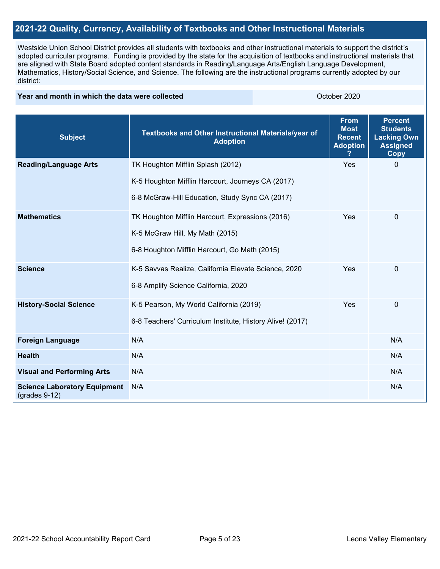## **2021-22 Quality, Currency, Availability of Textbooks and Other Instructional Materials**

Westside Union School District provides all students with textbooks and other instructional materials to support the district's adopted curricular programs. Funding is provided by the state for the acquisition of textbooks and instructional materials that are aligned with State Board adopted content standards in Reading/Language Arts/English Language Development, Mathematics, History/Social Science, and Science. The following are the instructional programs currently adopted by our district:

#### **Year and month in which the data were collected Collection Collection Collection Collection** October 2020

| <b>Subject</b>                                         | Textbooks and Other Instructional Materials/year of<br><b>Adoption</b> | <b>From</b><br><b>Most</b><br><b>Recent</b><br><b>Adoption</b> | <b>Percent</b><br><b>Students</b><br><b>Lacking Own</b><br><b>Assigned</b><br><b>Copy</b> |
|--------------------------------------------------------|------------------------------------------------------------------------|----------------------------------------------------------------|-------------------------------------------------------------------------------------------|
| <b>Reading/Language Arts</b>                           | TK Houghton Mifflin Splash (2012)                                      | Yes                                                            | $\mathbf{0}$                                                                              |
|                                                        | K-5 Houghton Mifflin Harcourt, Journeys CA (2017)                      |                                                                |                                                                                           |
|                                                        | 6-8 McGraw-Hill Education, Study Sync CA (2017)                        |                                                                |                                                                                           |
| <b>Mathematics</b>                                     | TK Houghton Mifflin Harcourt, Expressions (2016)                       | Yes                                                            | $\mathbf 0$                                                                               |
|                                                        | K-5 McGraw Hill, My Math (2015)                                        |                                                                |                                                                                           |
|                                                        | 6-8 Houghton Mifflin Harcourt, Go Math (2015)                          |                                                                |                                                                                           |
| <b>Science</b>                                         | K-5 Savvas Realize, California Elevate Science, 2020                   | Yes                                                            | 0                                                                                         |
|                                                        | 6-8 Amplify Science California, 2020                                   |                                                                |                                                                                           |
| <b>History-Social Science</b>                          | K-5 Pearson, My World California (2019)                                | Yes                                                            | 0                                                                                         |
|                                                        | 6-8 Teachers' Curriculum Institute, History Alive! (2017)              |                                                                |                                                                                           |
| <b>Foreign Language</b>                                | N/A                                                                    |                                                                | N/A                                                                                       |
| <b>Health</b>                                          | N/A                                                                    |                                                                | N/A                                                                                       |
| <b>Visual and Performing Arts</b>                      | N/A                                                                    |                                                                | N/A                                                                                       |
| <b>Science Laboratory Equipment</b><br>$(grades 9-12)$ | N/A                                                                    |                                                                | N/A                                                                                       |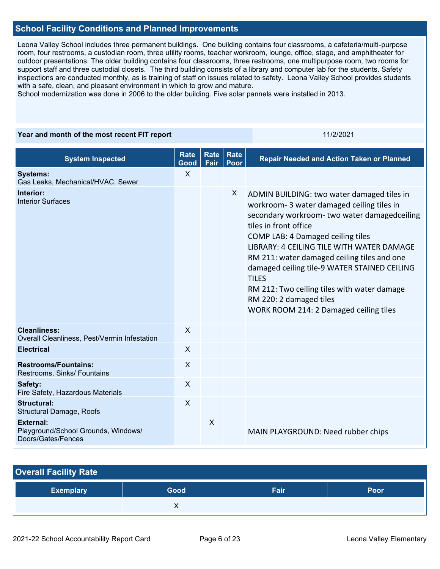## **School Facility Conditions and Planned Improvements**

Leona Valley School includes three permanent buildings. One building contains four classrooms, a cafeteria/multi-purpose room, four restrooms, a custodian room, three utility rooms, teacher workroom, lounge, office, stage, and amphitheater for outdoor presentations. The older building contains four classrooms, three restrooms, one multipurpose room, two rooms for support staff and three custodial closets. The third building consists of a library and computer lab for the students. Safety inspections are conducted monthly, as is training of staff on issues related to safety. Leona Valley School provides students with a safe, clean, and pleasant environment in which to grow and mature.

School modernization was done in 2006 to the older building. Five solar pannels were installed in 2013.

#### **Year and month of the most recent FIT report** 11/2/2021

| <b>System Inspected</b>                                                       | <b>Rate</b><br>Good       | <b>Rate</b><br>Fair | <b>Rate</b><br>Poor | <b>Repair Needed and Action Taken or Planned</b>                                                                                                                                                                                                                                                                                                                                                                                                                                       |
|-------------------------------------------------------------------------------|---------------------------|---------------------|---------------------|----------------------------------------------------------------------------------------------------------------------------------------------------------------------------------------------------------------------------------------------------------------------------------------------------------------------------------------------------------------------------------------------------------------------------------------------------------------------------------------|
| <b>Systems:</b><br>Gas Leaks, Mechanical/HVAC, Sewer                          | $\sf X$                   |                     |                     |                                                                                                                                                                                                                                                                                                                                                                                                                                                                                        |
| Interior:<br><b>Interior Surfaces</b>                                         |                           |                     | X                   | ADMIN BUILDING: two water damaged tiles in<br>workroom- 3 water damaged ceiling tiles in<br>secondary workroom- two water damagedceiling<br>tiles in front office<br>COMP LAB: 4 Damaged ceiling tiles<br>LIBRARY: 4 CEILING TILE WITH WATER DAMAGE<br>RM 211: water damaged ceiling tiles and one<br>damaged ceiling tile-9 WATER STAINED CEILING<br><b>TILES</b><br>RM 212: Two ceiling tiles with water damage<br>RM 220: 2 damaged tiles<br>WORK ROOM 214: 2 Damaged ceiling tiles |
| <b>Cleanliness:</b><br>Overall Cleanliness, Pest/Vermin Infestation           | $\boldsymbol{\mathsf{X}}$ |                     |                     |                                                                                                                                                                                                                                                                                                                                                                                                                                                                                        |
| <b>Electrical</b>                                                             | $\sf X$                   |                     |                     |                                                                                                                                                                                                                                                                                                                                                                                                                                                                                        |
| <b>Restrooms/Fountains:</b><br>Restrooms, Sinks/ Fountains                    | $\sf X$                   |                     |                     |                                                                                                                                                                                                                                                                                                                                                                                                                                                                                        |
| Safety:<br>Fire Safety, Hazardous Materials                                   | $\mathsf{X}$              |                     |                     |                                                                                                                                                                                                                                                                                                                                                                                                                                                                                        |
| <b>Structural:</b><br>Structural Damage, Roofs                                | $\sf X$                   |                     |                     |                                                                                                                                                                                                                                                                                                                                                                                                                                                                                        |
| <b>External:</b><br>Playground/School Grounds, Windows/<br>Doors/Gates/Fences |                           | $\sf X$             |                     | MAIN PLAYGROUND: Need rubber chips                                                                                                                                                                                                                                                                                                                                                                                                                                                     |

| <b>Overall Facility Rate</b> |      |      |      |
|------------------------------|------|------|------|
| <b>Exemplary</b>             | Good | Fair | Poor |
|                              |      |      |      |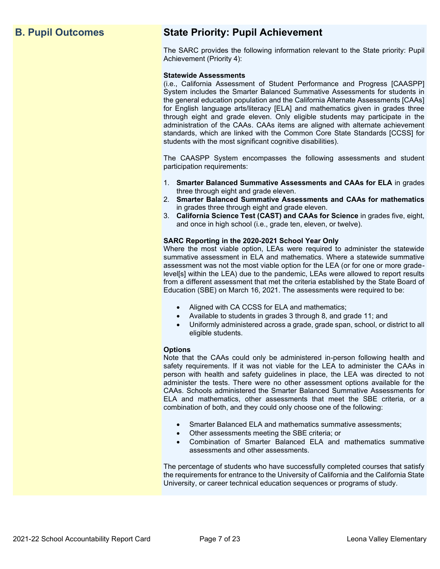## **B. Pupil Outcomes State Priority: Pupil Achievement**

The SARC provides the following information relevant to the State priority: Pupil Achievement (Priority 4):

#### **Statewide Assessments**

(i.e., California Assessment of Student Performance and Progress [CAASPP] System includes the Smarter Balanced Summative Assessments for students in the general education population and the California Alternate Assessments [CAAs] for English language arts/literacy [ELA] and mathematics given in grades three through eight and grade eleven. Only eligible students may participate in the administration of the CAAs. CAAs items are aligned with alternate achievement standards, which are linked with the Common Core State Standards [CCSS] for students with the most significant cognitive disabilities).

The CAASPP System encompasses the following assessments and student participation requirements:

- 1. **Smarter Balanced Summative Assessments and CAAs for ELA** in grades three through eight and grade eleven.
- 2. **Smarter Balanced Summative Assessments and CAAs for mathematics** in grades three through eight and grade eleven.
- 3. **California Science Test (CAST) and CAAs for Science** in grades five, eight, and once in high school (i.e., grade ten, eleven, or twelve).

#### **SARC Reporting in the 2020-2021 School Year Only**

Where the most viable option, LEAs were required to administer the statewide summative assessment in ELA and mathematics. Where a statewide summative assessment was not the most viable option for the LEA (or for one or more gradelevel[s] within the LEA) due to the pandemic, LEAs were allowed to report results from a different assessment that met the criteria established by the State Board of Education (SBE) on March 16, 2021. The assessments were required to be:

- Aligned with CA CCSS for ELA and mathematics;
- Available to students in grades 3 through 8, and grade 11; and
- Uniformly administered across a grade, grade span, school, or district to all eligible students.

#### **Options**

Note that the CAAs could only be administered in-person following health and safety requirements. If it was not viable for the LEA to administer the CAAs in person with health and safety guidelines in place, the LEA was directed to not administer the tests. There were no other assessment options available for the CAAs. Schools administered the Smarter Balanced Summative Assessments for ELA and mathematics, other assessments that meet the SBE criteria, or a combination of both, and they could only choose one of the following:

- Smarter Balanced ELA and mathematics summative assessments;
- Other assessments meeting the SBE criteria; or
- Combination of Smarter Balanced ELA and mathematics summative assessments and other assessments.

The percentage of students who have successfully completed courses that satisfy the requirements for entrance to the University of California and the California State University, or career technical education sequences or programs of study.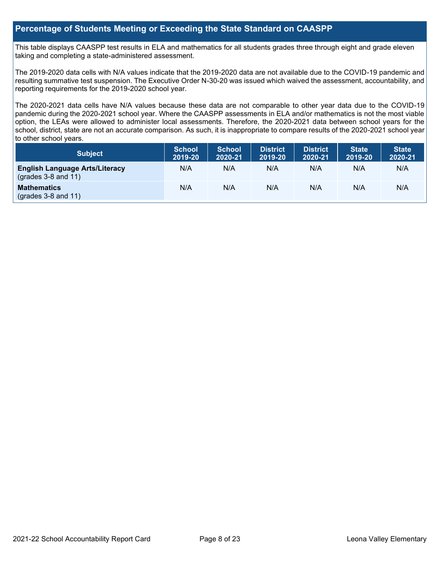## **Percentage of Students Meeting or Exceeding the State Standard on CAASPP**

This table displays CAASPP test results in ELA and mathematics for all students grades three through eight and grade eleven taking and completing a state-administered assessment.

The 2019-2020 data cells with N/A values indicate that the 2019-2020 data are not available due to the COVID-19 pandemic and resulting summative test suspension. The Executive Order N-30-20 was issued which waived the assessment, accountability, and reporting requirements for the 2019-2020 school year.

The 2020-2021 data cells have N/A values because these data are not comparable to other year data due to the COVID-19 pandemic during the 2020-2021 school year. Where the CAASPP assessments in ELA and/or mathematics is not the most viable option, the LEAs were allowed to administer local assessments. Therefore, the 2020-2021 data between school years for the school, district, state are not an accurate comparison. As such, it is inappropriate to compare results of the 2020-2021 school year to other school years.

| Subject                                                              | <b>School</b><br>2019-20 | <b>School</b><br>2020-21 | <b>District</b><br>2019-20 | <b>District</b><br>2020-21 | <b>State</b><br>2019-20 | <b>State</b><br>2020-21 |
|----------------------------------------------------------------------|--------------------------|--------------------------|----------------------------|----------------------------|-------------------------|-------------------------|
| <b>English Language Arts/Literacy</b><br>$\left($ grades 3-8 and 11) | N/A                      | N/A                      | N/A                        | N/A                        | N/A                     | N/A                     |
| <b>Mathematics</b><br>$(grades 3-8 and 11)$                          | N/A                      | N/A                      | N/A                        | N/A                        | N/A                     | N/A                     |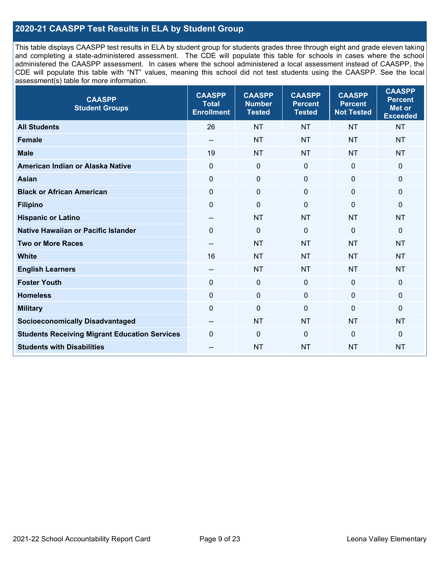## **2020-21 CAASPP Test Results in ELA by Student Group**

This table displays CAASPP test results in ELA by student group for students grades three through eight and grade eleven taking and completing a state-administered assessment. The CDE will populate this table for schools in cases where the school administered the CAASPP assessment. In cases where the school administered a local assessment instead of CAASPP, the CDE will populate this table with "NT" values, meaning this school did not test students using the CAASPP. See the local assessment(s) table for more information.

| <b>CAASPP</b><br><b>Student Groups</b>               | <b>CAASPP</b><br><b>Total</b><br><b>Enrollment</b> | <b>CAASPP</b><br><b>Number</b><br><b>Tested</b> | <b>CAASPP</b><br><b>Percent</b><br><b>Tested</b> | <b>CAASPP</b><br><b>Percent</b><br><b>Not Tested</b> | <b>CAASPP</b><br><b>Percent</b><br><b>Met or</b><br><b>Exceeded</b> |
|------------------------------------------------------|----------------------------------------------------|-------------------------------------------------|--------------------------------------------------|------------------------------------------------------|---------------------------------------------------------------------|
| <b>All Students</b>                                  | 26                                                 | <b>NT</b>                                       | <b>NT</b>                                        | <b>NT</b>                                            | <b>NT</b>                                                           |
| <b>Female</b>                                        | $- -$                                              | <b>NT</b>                                       | <b>NT</b>                                        | <b>NT</b>                                            | <b>NT</b>                                                           |
| <b>Male</b>                                          | 19                                                 | <b>NT</b>                                       | <b>NT</b>                                        | <b>NT</b>                                            | <b>NT</b>                                                           |
| American Indian or Alaska Native                     | $\mathbf 0$                                        | $\pmb{0}$                                       | 0                                                | $\mathbf 0$                                          | 0                                                                   |
| <b>Asian</b>                                         | $\mathbf 0$                                        | $\pmb{0}$                                       | $\Omega$                                         | $\mathbf 0$                                          | 0                                                                   |
| <b>Black or African American</b>                     | $\Omega$                                           | $\mathbf 0$                                     | $\Omega$                                         | $\Omega$                                             | 0                                                                   |
| <b>Filipino</b>                                      | $\mathbf 0$                                        | $\mathbf 0$                                     | $\mathbf{0}$                                     | $\overline{0}$                                       | $\mathbf 0$                                                         |
| <b>Hispanic or Latino</b>                            | $\overline{\phantom{a}}$                           | <b>NT</b>                                       | <b>NT</b>                                        | <b>NT</b>                                            | <b>NT</b>                                                           |
| <b>Native Hawaiian or Pacific Islander</b>           | $\Omega$                                           | $\mathbf 0$                                     | $\mathbf 0$                                      | $\mathbf 0$                                          | 0                                                                   |
| <b>Two or More Races</b>                             | --                                                 | <b>NT</b>                                       | <b>NT</b>                                        | <b>NT</b>                                            | <b>NT</b>                                                           |
| <b>White</b>                                         | 16                                                 | <b>NT</b>                                       | <b>NT</b>                                        | <b>NT</b>                                            | <b>NT</b>                                                           |
| <b>English Learners</b>                              | --                                                 | <b>NT</b>                                       | <b>NT</b>                                        | <b>NT</b>                                            | <b>NT</b>                                                           |
| <b>Foster Youth</b>                                  | $\Omega$                                           | $\mathbf 0$                                     | $\mathbf 0$                                      | $\mathbf 0$                                          | $\mathbf 0$                                                         |
| <b>Homeless</b>                                      | 0                                                  | $\mathbf 0$                                     | 0                                                | $\mathbf 0$                                          | 0                                                                   |
| <b>Military</b>                                      | $\mathbf 0$                                        | $\pmb{0}$                                       | 0                                                | $\mathbf 0$                                          | 0                                                                   |
| <b>Socioeconomically Disadvantaged</b>               | $- -$                                              | <b>NT</b>                                       | <b>NT</b>                                        | <b>NT</b>                                            | <b>NT</b>                                                           |
| <b>Students Receiving Migrant Education Services</b> | $\mathbf 0$                                        | $\mathbf 0$                                     | $\Omega$                                         | $\mathbf 0$                                          | 0                                                                   |
| <b>Students with Disabilities</b>                    | --                                                 | <b>NT</b>                                       | <b>NT</b>                                        | <b>NT</b>                                            | <b>NT</b>                                                           |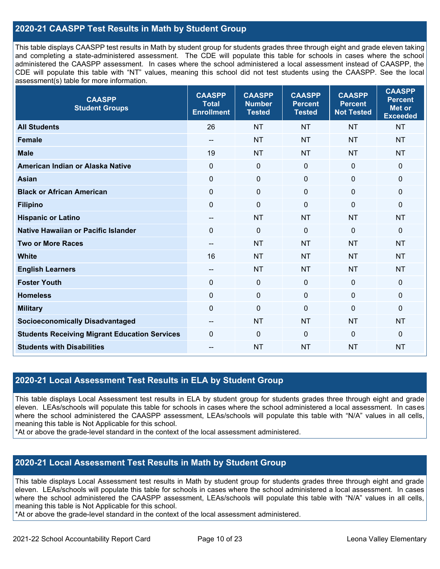## **2020-21 CAASPP Test Results in Math by Student Group**

This table displays CAASPP test results in Math by student group for students grades three through eight and grade eleven taking and completing a state-administered assessment. The CDE will populate this table for schools in cases where the school administered the CAASPP assessment. In cases where the school administered a local assessment instead of CAASPP, the CDE will populate this table with "NT" values, meaning this school did not test students using the CAASPP. See the local assessment(s) table for more information.

| <b>CAASPP</b><br><b>Student Groups</b>               | <b>CAASPP</b><br><b>Total</b><br><b>Enrollment</b> | <b>CAASPP</b><br><b>Number</b><br><b>Tested</b> | <b>CAASPP</b><br><b>Percent</b><br><b>Tested</b> | <b>CAASPP</b><br><b>Percent</b><br><b>Not Tested</b> | <b>CAASPP</b><br><b>Percent</b><br><b>Met or</b><br><b>Exceeded</b> |
|------------------------------------------------------|----------------------------------------------------|-------------------------------------------------|--------------------------------------------------|------------------------------------------------------|---------------------------------------------------------------------|
| <b>All Students</b>                                  | 26                                                 | <b>NT</b>                                       | <b>NT</b>                                        | <b>NT</b>                                            | <b>NT</b>                                                           |
| Female                                               | $\overline{\phantom{a}}$                           | <b>NT</b>                                       | <b>NT</b>                                        | <b>NT</b>                                            | <b>NT</b>                                                           |
| <b>Male</b>                                          | 19                                                 | <b>NT</b>                                       | <b>NT</b>                                        | <b>NT</b>                                            | <b>NT</b>                                                           |
| American Indian or Alaska Native                     | $\mathbf 0$                                        | $\mathbf 0$                                     | $\mathbf 0$                                      | $\mathbf 0$                                          | 0                                                                   |
| <b>Asian</b>                                         | $\mathbf 0$                                        | $\pmb{0}$                                       | $\mathbf 0$                                      | $\mathbf 0$                                          | 0                                                                   |
| <b>Black or African American</b>                     | $\mathbf 0$                                        | $\mathbf 0$                                     | $\mathbf{0}$                                     | $\mathbf 0$                                          | 0                                                                   |
| <b>Filipino</b>                                      | $\mathbf 0$                                        | $\mathbf 0$                                     | $\mathbf{0}$                                     | $\overline{0}$                                       | $\mathbf{0}$                                                        |
| <b>Hispanic or Latino</b>                            | $-$                                                | <b>NT</b>                                       | <b>NT</b>                                        | <b>NT</b>                                            | <b>NT</b>                                                           |
| <b>Native Hawaiian or Pacific Islander</b>           | $\Omega$                                           | $\pmb{0}$                                       | $\mathbf 0$                                      | $\overline{0}$                                       | $\mathbf 0$                                                         |
| <b>Two or More Races</b>                             | $- -$                                              | <b>NT</b>                                       | <b>NT</b>                                        | <b>NT</b>                                            | <b>NT</b>                                                           |
| <b>White</b>                                         | 16                                                 | <b>NT</b>                                       | <b>NT</b>                                        | <b>NT</b>                                            | <b>NT</b>                                                           |
| <b>English Learners</b>                              | $-$                                                | <b>NT</b>                                       | <b>NT</b>                                        | <b>NT</b>                                            | <b>NT</b>                                                           |
| <b>Foster Youth</b>                                  | $\mathbf{0}$                                       | $\mathbf 0$                                     | $\mathbf{0}$                                     | $\mathbf 0$                                          | 0                                                                   |
| <b>Homeless</b>                                      | $\mathbf 0$                                        | $\mathbf 0$                                     | $\mathbf{0}$                                     | $\mathbf 0$                                          | 0                                                                   |
| <b>Military</b>                                      | $\mathbf 0$                                        | $\mathbf 0$                                     | $\mathbf 0$                                      | $\mathbf 0$                                          | $\mathbf 0$                                                         |
| <b>Socioeconomically Disadvantaged</b>               | $\overline{\phantom{a}}$                           | <b>NT</b>                                       | <b>NT</b>                                        | <b>NT</b>                                            | <b>NT</b>                                                           |
| <b>Students Receiving Migrant Education Services</b> | $\Omega$                                           | $\mathbf 0$                                     | $\mathbf 0$                                      | $\Omega$                                             | $\mathbf{0}$                                                        |
| <b>Students with Disabilities</b>                    |                                                    | <b>NT</b>                                       | <b>NT</b>                                        | <b>NT</b>                                            | <b>NT</b>                                                           |

## **2020-21 Local Assessment Test Results in ELA by Student Group**

This table displays Local Assessment test results in ELA by student group for students grades three through eight and grade eleven. LEAs/schools will populate this table for schools in cases where the school administered a local assessment. In cases where the school administered the CAASPP assessment, LEAs/schools will populate this table with "N/A" values in all cells, meaning this table is Not Applicable for this school.

\*At or above the grade-level standard in the context of the local assessment administered.

## **2020-21 Local Assessment Test Results in Math by Student Group**

This table displays Local Assessment test results in Math by student group for students grades three through eight and grade eleven. LEAs/schools will populate this table for schools in cases where the school administered a local assessment. In cases where the school administered the CAASPP assessment, LEAs/schools will populate this table with "N/A" values in all cells, meaning this table is Not Applicable for this school.

\*At or above the grade-level standard in the context of the local assessment administered.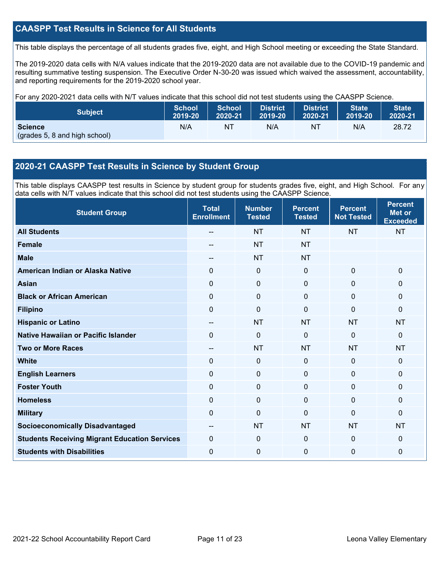## **CAASPP Test Results in Science for All Students**

This table displays the percentage of all students grades five, eight, and High School meeting or exceeding the State Standard.

The 2019-2020 data cells with N/A values indicate that the 2019-2020 data are not available due to the COVID-19 pandemic and resulting summative testing suspension. The Executive Order N-30-20 was issued which waived the assessment, accountability, and reporting requirements for the 2019-2020 school year.

For any 2020-2021 data cells with N/T values indicate that this school did not test students using the CAASPP Science.

| <b>Subject</b>                                  | <b>School</b> | <b>School</b> | <b>District</b> | District. | <b>State</b> | <b>State</b> |
|-------------------------------------------------|---------------|---------------|-----------------|-----------|--------------|--------------|
|                                                 | 2019-20       | 2020-21       | 2019-20         | 2020-21   | 2019-20      | 2020-21      |
| <b>Science</b><br>(grades 5, 8 and high school) | N/A           | NT            | N/A             | NT        | N/A          | 28.72        |

## **2020-21 CAASPP Test Results in Science by Student Group**

This table displays CAASPP test results in Science by student group for students grades five, eight, and High School. For any data cells with N/T values indicate that this school did not test students using the CAASPP Science.

| <b>Student Group</b>                                 | <b>Total</b><br><b>Enrollment</b> | <b>Number</b><br><b>Tested</b> | <b>Percent</b><br><b>Tested</b> | <b>Percent</b><br><b>Not Tested</b> | <b>Percent</b><br><b>Met or</b><br><b>Exceeded</b> |
|------------------------------------------------------|-----------------------------------|--------------------------------|---------------------------------|-------------------------------------|----------------------------------------------------|
| <b>All Students</b>                                  |                                   | <b>NT</b>                      | <b>NT</b>                       | <b>NT</b>                           | <b>NT</b>                                          |
| <b>Female</b>                                        |                                   | <b>NT</b>                      | <b>NT</b>                       |                                     |                                                    |
| <b>Male</b>                                          | --                                | <b>NT</b>                      | <b>NT</b>                       |                                     |                                                    |
| American Indian or Alaska Native                     | $\Omega$                          | 0                              | $\mathbf 0$                     | $\mathbf{0}$                        | $\mathbf 0$                                        |
| <b>Asian</b>                                         | $\Omega$                          | $\pmb{0}$                      | $\mathbf 0$                     | $\mathbf 0$                         | $\mathbf 0$                                        |
| <b>Black or African American</b>                     | 0                                 | $\mathbf 0$                    | $\mathbf 0$                     | 0                                   | $\mathbf 0$                                        |
| <b>Filipino</b>                                      | 0                                 | $\mathbf 0$                    | $\mathbf{0}$                    | $\Omega$                            | $\mathbf 0$                                        |
| <b>Hispanic or Latino</b>                            | $\sim$                            | <b>NT</b>                      | <b>NT</b>                       | <b>NT</b>                           | <b>NT</b>                                          |
| <b>Native Hawaiian or Pacific Islander</b>           | $\Omega$                          | $\mathbf 0$                    | $\mathbf 0$                     | $\overline{0}$                      | $\mathbf{0}$                                       |
| <b>Two or More Races</b>                             | --                                | <b>NT</b>                      | <b>NT</b>                       | <b>NT</b>                           | <b>NT</b>                                          |
| <b>White</b>                                         | $\Omega$                          | 0                              | $\mathbf 0$                     | $\Omega$                            | $\mathbf 0$                                        |
| <b>English Learners</b>                              | 0                                 | $\mathbf 0$                    | $\mathbf{0}$                    | $\mathbf 0$                         | $\mathbf{0}$                                       |
| <b>Foster Youth</b>                                  | 0                                 | $\mathbf 0$                    | $\mathbf 0$                     | $\mathbf 0$                         | $\mathbf 0$                                        |
| <b>Homeless</b>                                      | 0                                 | $\mathbf 0$                    | $\mathbf 0$                     | $\Omega$                            | $\mathbf{0}$                                       |
| <b>Military</b>                                      | 0                                 | 0                              | $\mathbf{0}$                    | $\Omega$                            | $\mathbf{0}$                                       |
| <b>Socioeconomically Disadvantaged</b>               | --                                | <b>NT</b>                      | <b>NT</b>                       | <b>NT</b>                           | <b>NT</b>                                          |
| <b>Students Receiving Migrant Education Services</b> | $\Omega$                          | 0                              | $\mathbf{0}$                    | $\Omega$                            | $\mathbf{0}$                                       |
| <b>Students with Disabilities</b>                    | 0                                 | 0                              | $\mathbf 0$                     | $\mathbf 0$                         | $\mathbf 0$                                        |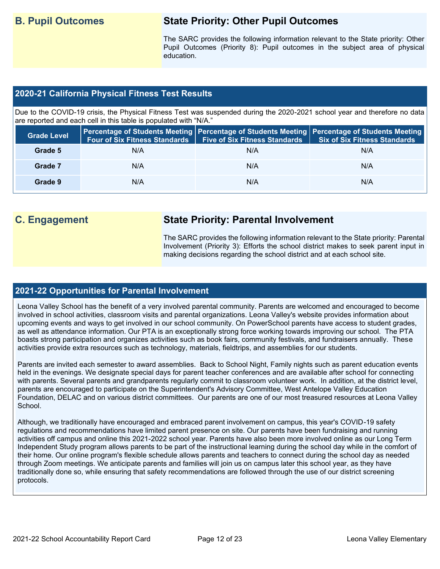## **B. Pupil Outcomes State Priority: Other Pupil Outcomes**

The SARC provides the following information relevant to the State priority: Other Pupil Outcomes (Priority 8): Pupil outcomes in the subject area of physical education.

## **2020-21 California Physical Fitness Test Results**

Due to the COVID-19 crisis, the Physical Fitness Test was suspended during the 2020-2021 school year and therefore no data are reported and each cell in this table is populated with "N/A."

| <b>Grade Level</b> | <b>Four of Six Fitness Standards</b> | <b>Five of Six Fitness Standards</b> | Percentage of Students Meeting   Percentage of Students Meeting   Percentage of Students Meeting  <br><b>Six of Six Fitness Standards</b> |
|--------------------|--------------------------------------|--------------------------------------|-------------------------------------------------------------------------------------------------------------------------------------------|
| Grade 5            | N/A                                  | N/A                                  | N/A                                                                                                                                       |
| Grade 7            | N/A                                  | N/A                                  | N/A                                                                                                                                       |
| Grade 9            | N/A                                  | N/A                                  | N/A                                                                                                                                       |

## **C. Engagement State Priority: Parental Involvement**

The SARC provides the following information relevant to the State priority: Parental Involvement (Priority 3): Efforts the school district makes to seek parent input in making decisions regarding the school district and at each school site.

## **2021-22 Opportunities for Parental Involvement**

Leona Valley School has the benefit of a very involved parental community. Parents are welcomed and encouraged to become involved in school activities, classroom visits and parental organizations. Leona Valley's website provides information about upcoming events and ways to get involved in our school community. On PowerSchool parents have access to student grades, as well as attendance information. Our PTA is an exceptionally strong force working towards improving our school. The PTA boasts strong participation and organizes activities such as book fairs, community festivals, and fundraisers annually. These activities provide extra resources such as technology, materials, fieldtrips, and assemblies for our students.

Parents are invited each semester to award assemblies. Back to School Night, Family nights such as parent education events held in the evenings. We designate special days for parent teacher conferences and are available after school for connecting with parents. Several parents and grandparents regularly commit to classroom volunteer work. In addition, at the district level, parents are encouraged to participate on the Superintendent's Advisory Committee, West Antelope Valley Education Foundation, DELAC and on various district committees. Our parents are one of our most treasured resources at Leona Valley School.

Although, we traditionally have encouraged and embraced parent involvement on campus, this year's COVID-19 safety regulations and recommendations have limited parent presence on site. Our parents have been fundraising and running activities off campus and online this 2021-2022 school year. Parents have also been more involved online as our Long Term Independent Study program allows parents to be part of the instructional learning during the school day while in the comfort of their home. Our online program's flexible schedule allows parents and teachers to connect during the school day as needed through Zoom meetings. We anticipate parents and families will join us on campus later this school year, as they have traditionally done so, while ensuring that safety recommendations are followed through the use of our district screening protocols.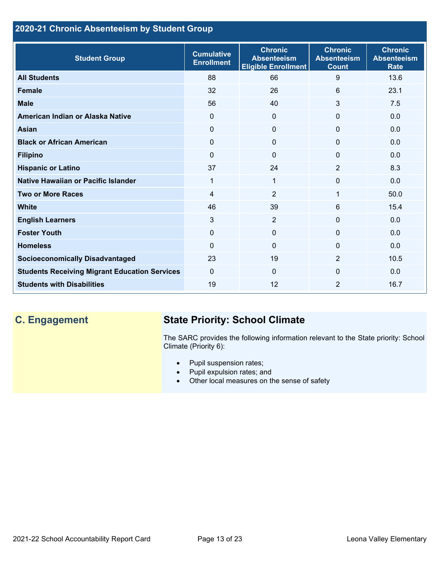## **2020-21 Chronic Absenteeism by Student Group**

| <b>Student Group</b>                                 | <b>Cumulative</b><br><b>Enrollment</b> | <b>Chronic</b><br><b>Absenteeism</b><br><b>Eligible Enrollment</b> | <b>Chronic</b><br><b>Absenteeism</b><br><b>Count</b> | <b>Chronic</b><br><b>Absenteeism</b><br><b>Rate</b> |
|------------------------------------------------------|----------------------------------------|--------------------------------------------------------------------|------------------------------------------------------|-----------------------------------------------------|
| <b>All Students</b>                                  | 88                                     | 66                                                                 | 9                                                    | 13.6                                                |
| <b>Female</b>                                        | 32                                     | 26                                                                 | 6                                                    | 23.1                                                |
| <b>Male</b>                                          | 56                                     | 40                                                                 | 3                                                    | 7.5                                                 |
| American Indian or Alaska Native                     | 0                                      | $\overline{0}$                                                     | $\mathbf{0}$                                         | 0.0                                                 |
| Asian                                                | $\Omega$                               | $\overline{0}$                                                     | $\Omega$                                             | 0.0                                                 |
| <b>Black or African American</b>                     | 0                                      | $\mathbf 0$                                                        | $\mathbf 0$                                          | 0.0                                                 |
| <b>Filipino</b>                                      | $\Omega$                               | $\mathbf 0$                                                        | $\Omega$                                             | 0.0                                                 |
| <b>Hispanic or Latino</b>                            | 37                                     | 24                                                                 | $\overline{2}$                                       | 8.3                                                 |
| Native Hawaiian or Pacific Islander                  | 1                                      | 1                                                                  | 0                                                    | 0.0                                                 |
| <b>Two or More Races</b>                             | 4                                      | $\overline{2}$                                                     | 1                                                    | 50.0                                                |
| <b>White</b>                                         | 46                                     | 39                                                                 | 6                                                    | 15.4                                                |
| <b>English Learners</b>                              | 3                                      | $\overline{2}$                                                     | $\Omega$                                             | 0.0                                                 |
| <b>Foster Youth</b>                                  | $\Omega$                               | $\mathbf 0$                                                        | $\Omega$                                             | 0.0                                                 |
| <b>Homeless</b>                                      | $\Omega$                               | $\mathbf 0$                                                        | $\Omega$                                             | 0.0                                                 |
| <b>Socioeconomically Disadvantaged</b>               | 23                                     | 19                                                                 | 2                                                    | 10.5                                                |
| <b>Students Receiving Migrant Education Services</b> | $\Omega$                               | $\Omega$                                                           | $\Omega$                                             | 0.0                                                 |
| <b>Students with Disabilities</b>                    | 19                                     | 12                                                                 | $\overline{2}$                                       | 16.7                                                |

## **C. Engagement State Priority: School Climate**

The SARC provides the following information relevant to the State priority: School Climate (Priority 6):

- Pupil suspension rates;
- Pupil expulsion rates; and
- Other local measures on the sense of safety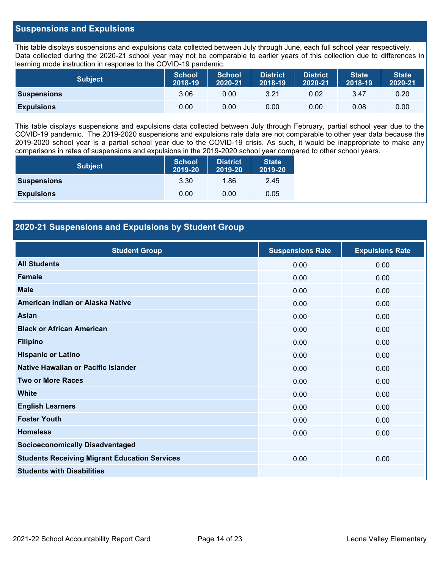## **Suspensions and Expulsions**

This table displays suspensions and expulsions data collected between July through June, each full school year respectively. Data collected during the 2020-21 school year may not be comparable to earlier years of this collection due to differences in learning mode instruction in response to the COVID-19 pandemic.

| <b>Subject</b>     | <b>School</b><br>2018-19 | <b>School</b><br>2020-21 | <b>District</b><br>2018-19 | <b>District</b><br>2020-21 | <b>State</b><br>2018-19 | <b>State</b><br>2020-21 |
|--------------------|--------------------------|--------------------------|----------------------------|----------------------------|-------------------------|-------------------------|
| <b>Suspensions</b> | 3.06                     | 0.00                     | 3.21                       | 0.02                       | 3.47                    | 0.20                    |
| <b>Expulsions</b>  | 0.00                     | 0.00                     | 0.00                       | 0.00                       | 0.08                    | 0.00                    |

This table displays suspensions and expulsions data collected between July through February, partial school year due to the COVID-19 pandemic. The 2019-2020 suspensions and expulsions rate data are not comparable to other year data because the 2019-2020 school year is a partial school year due to the COVID-19 crisis. As such, it would be inappropriate to make any comparisons in rates of suspensions and expulsions in the 2019-2020 school year compared to other school years.

| <b>Subject</b>     | <b>School</b><br>2019-20 | <b>District</b><br>2019-20 | <b>State</b><br>2019-20 |
|--------------------|--------------------------|----------------------------|-------------------------|
| <b>Suspensions</b> | 3.30                     | 1.86                       | 2.45                    |
| <b>Expulsions</b>  | 0.00                     | 0.00                       | 0.05                    |

## **2020-21 Suspensions and Expulsions by Student Group**

| <b>Student Group</b>                                 | <b>Suspensions Rate</b> | <b>Expulsions Rate</b> |
|------------------------------------------------------|-------------------------|------------------------|
| <b>All Students</b>                                  | 0.00                    | 0.00                   |
| <b>Female</b>                                        | 0.00                    | 0.00                   |
| <b>Male</b>                                          | 0.00                    | 0.00                   |
| American Indian or Alaska Native                     | 0.00                    | 0.00                   |
| <b>Asian</b>                                         | 0.00                    | 0.00                   |
| <b>Black or African American</b>                     | 0.00                    | 0.00                   |
| <b>Filipino</b>                                      | 0.00                    | 0.00                   |
| <b>Hispanic or Latino</b>                            | 0.00                    | 0.00                   |
| Native Hawaiian or Pacific Islander                  | 0.00                    | 0.00                   |
| <b>Two or More Races</b>                             | 0.00                    | 0.00                   |
| <b>White</b>                                         | 0.00                    | 0.00                   |
| <b>English Learners</b>                              | 0.00                    | 0.00                   |
| <b>Foster Youth</b>                                  | 0.00                    | 0.00                   |
| <b>Homeless</b>                                      | 0.00                    | 0.00                   |
| <b>Socioeconomically Disadvantaged</b>               |                         |                        |
| <b>Students Receiving Migrant Education Services</b> | 0.00                    | 0.00                   |
| <b>Students with Disabilities</b>                    |                         |                        |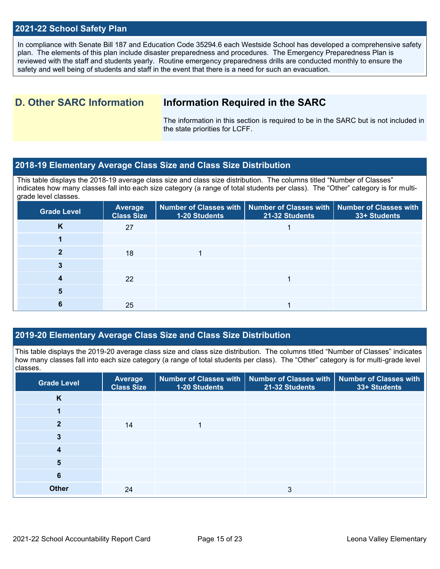## **2021-22 School Safety Plan**

In compliance with Senate Bill 187 and Education Code 35294.6 each Westside School has developed a comprehensive safety plan. The elements of this plan include disaster preparedness and procedures. The Emergency Preparedness Plan is reviewed with the staff and students yearly. Routine emergency preparedness drills are conducted monthly to ensure the safety and well being of students and staff in the event that there is a need for such an evacuation.

## **D. Other SARC Information Information Required in the SARC**

The information in this section is required to be in the SARC but is not included in the state priorities for LCFF.

## **2018-19 Elementary Average Class Size and Class Size Distribution**

This table displays the 2018-19 average class size and class size distribution. The columns titled "Number of Classes" indicates how many classes fall into each size category (a range of total students per class). The "Other" category is for multigrade level classes.

| <b>Grade Level</b> | <b>Average</b><br><b>Class Size</b> | 1-20 Students | Number of Classes with   Number of Classes with   Number of Classes with<br>21-32 Students | 33+ Students |
|--------------------|-------------------------------------|---------------|--------------------------------------------------------------------------------------------|--------------|
| K                  | 27                                  |               |                                                                                            |              |
|                    |                                     |               |                                                                                            |              |
|                    | 18                                  |               |                                                                                            |              |
|                    |                                     |               |                                                                                            |              |
|                    | 22                                  |               |                                                                                            |              |
|                    |                                     |               |                                                                                            |              |
|                    | 25                                  |               |                                                                                            |              |

## **2019-20 Elementary Average Class Size and Class Size Distribution**

This table displays the 2019-20 average class size and class size distribution. The columns titled "Number of Classes" indicates how many classes fall into each size category (a range of total students per class). The "Other" category is for multi-grade level classes.

| <b>Grade Level</b> | <b>Average</b><br><b>Class Size</b> | 1-20 Students | Number of Classes with   Number of Classes with<br>21-32 Students | <b>Number of Classes with</b><br>33+ Students |
|--------------------|-------------------------------------|---------------|-------------------------------------------------------------------|-----------------------------------------------|
| K                  |                                     |               |                                                                   |                                               |
|                    |                                     |               |                                                                   |                                               |
| $\mathbf{2}$       | 14                                  |               |                                                                   |                                               |
| 3                  |                                     |               |                                                                   |                                               |
| 4                  |                                     |               |                                                                   |                                               |
| 5                  |                                     |               |                                                                   |                                               |
| 6                  |                                     |               |                                                                   |                                               |
| <b>Other</b>       | 24                                  |               | 3                                                                 |                                               |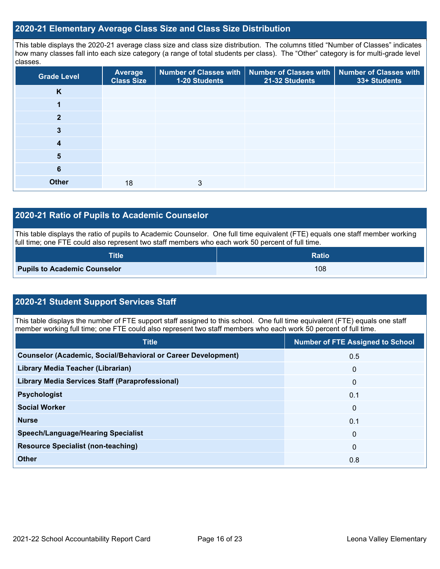## **2020-21 Elementary Average Class Size and Class Size Distribution**

This table displays the 2020-21 average class size and class size distribution. The columns titled "Number of Classes" indicates how many classes fall into each size category (a range of total students per class). The "Other" category is for multi-grade level classes.

| <b>Grade Level</b> | Average<br><b>Class Size</b> | 1-20 Students | Number of Classes with   Number of Classes with   Number of Classes with<br>21-32 Students | 33+ Students |
|--------------------|------------------------------|---------------|--------------------------------------------------------------------------------------------|--------------|
| K                  |                              |               |                                                                                            |              |
|                    |                              |               |                                                                                            |              |
| 2                  |                              |               |                                                                                            |              |
| 3                  |                              |               |                                                                                            |              |
| 4                  |                              |               |                                                                                            |              |
| 5                  |                              |               |                                                                                            |              |
| 6                  |                              |               |                                                                                            |              |
| <b>Other</b>       | 18                           | 3             |                                                                                            |              |

## **2020-21 Ratio of Pupils to Academic Counselor**

This table displays the ratio of pupils to Academic Counselor. One full time equivalent (FTE) equals one staff member working full time; one FTE could also represent two staff members who each work 50 percent of full time.

| <b>Title</b>                        | <b>Ratio</b> |
|-------------------------------------|--------------|
| <b>Pupils to Academic Counselor</b> | 108          |

## **2020-21 Student Support Services Staff**

This table displays the number of FTE support staff assigned to this school. One full time equivalent (FTE) equals one staff member working full time; one FTE could also represent two staff members who each work 50 percent of full time.

| <b>Title</b>                                                         | <b>Number of FTE Assigned to School</b> |
|----------------------------------------------------------------------|-----------------------------------------|
| <b>Counselor (Academic, Social/Behavioral or Career Development)</b> | 0.5                                     |
| Library Media Teacher (Librarian)                                    | 0                                       |
| Library Media Services Staff (Paraprofessional)                      | 0                                       |
| <b>Psychologist</b>                                                  | 0.1                                     |
| <b>Social Worker</b>                                                 | $\mathbf{0}$                            |
| <b>Nurse</b>                                                         | 0.1                                     |
| <b>Speech/Language/Hearing Specialist</b>                            | $\mathbf{0}$                            |
| <b>Resource Specialist (non-teaching)</b>                            | $\mathbf{0}$                            |
| <b>Other</b>                                                         | 0.8                                     |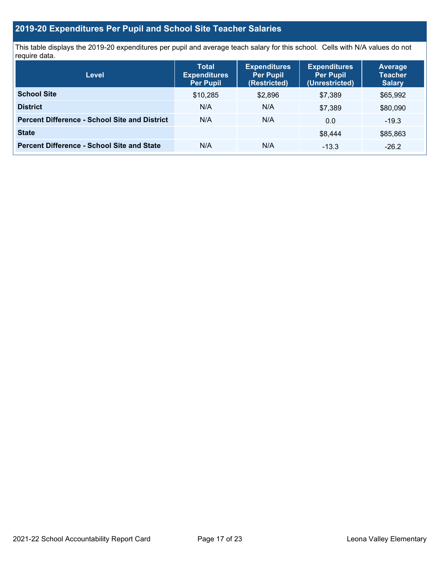## **2019-20 Expenditures Per Pupil and School Site Teacher Salaries**

This table displays the 2019-20 expenditures per pupil and average teach salary for this school. Cells with N/A values do not require data.

| <b>Level</b>                                         | <b>Total</b><br><b>Expenditures</b><br><b>Per Pupil</b> | <b>Expenditures</b><br><b>Per Pupil</b><br>(Restricted) | <b>Expenditures</b><br><b>Per Pupil</b><br>(Unrestricted) | <b>Average</b><br><b>Teacher</b><br><b>Salary</b> |
|------------------------------------------------------|---------------------------------------------------------|---------------------------------------------------------|-----------------------------------------------------------|---------------------------------------------------|
| <b>School Site</b>                                   | \$10,285                                                | \$2,896                                                 | \$7.389                                                   | \$65,992                                          |
| <b>District</b>                                      | N/A                                                     | N/A                                                     | \$7,389                                                   | \$80,090                                          |
| <b>Percent Difference - School Site and District</b> | N/A                                                     | N/A                                                     | 0.0                                                       | $-19.3$                                           |
| <b>State</b>                                         |                                                         |                                                         | \$8.444                                                   | \$85,863                                          |
| <b>Percent Difference - School Site and State</b>    | N/A                                                     | N/A                                                     | $-13.3$                                                   | $-26.2$                                           |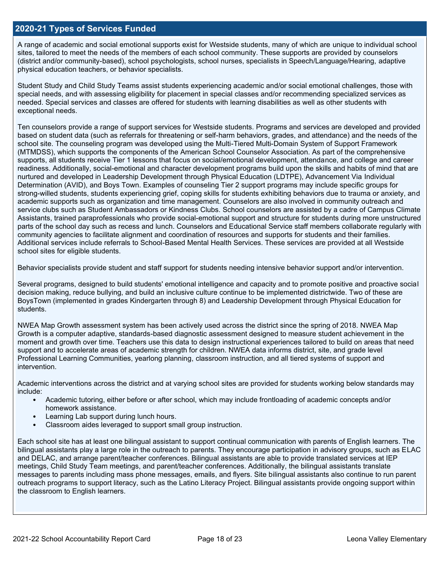## **2020-21 Types of Services Funded**

A range of academic and social emotional supports exist for Westside students, many of which are unique to individual school sites, tailored to meet the needs of the members of each school community. These supports are provided by counselors (district and/or community-based), school psychologists, school nurses, specialists in Speech/Language/Hearing, adaptive physical education teachers, or behavior specialists.

Student Study and Child Study Teams assist students experiencing academic and/or social emotional challenges, those with special needs, and with assessing eligibility for placement in special classes and/or recommending specialized services as needed. Special services and classes are offered for students with learning disabilities as well as other students with exceptional needs.

Ten counselors provide a range of support services for Westside students. Programs and services are developed and provided based on student data (such as referrals for threatening or self-harm behaviors, grades, and attendance) and the needs of the school site. The counseling program was developed using the Multi-Tiered Multi-Domain System of Support Framework (MTMDSS), which supports the components of the American School Counselor Association. As part of the comprehensive supports, all students receive Tier 1 lessons that focus on social/emotional development, attendance, and college and career readiness. Additionally, social-emotional and character development programs build upon the skills and habits of mind that are nurtured and developed in Leadership Development through Physical Education (LDTPE), Advancement Via Individual Determination (AVID), and Boys Town. Examples of counseling Tier 2 support programs may include specific groups for strong-willed students, students experiencing grief, coping skills for students exhibiting behaviors due to trauma or anxiety, and academic supports such as organization and time management. Counselors are also involved in community outreach and service clubs such as Student Ambassadors or Kindness Clubs. School counselors are assisted by a cadre of Campus Climate Assistants, trained paraprofessionals who provide social-emotional support and structure for students during more unstructured parts of the school day such as recess and lunch. Counselors and Educational Service staff members collaborate regularly with community agencies to facilitate alignment and coordination of resources and supports for students and their families. Additional services include referrals to School-Based Mental Health Services. These services are provided at all Westside school sites for eligible students.

Behavior specialists provide student and staff support for students needing intensive behavior support and/or intervention.

Several programs, designed to build students' emotional intelligence and capacity and to promote positive and proactive social decision making, reduce bullying, and build an inclusive culture continue to be implemented districtwide. Two of these are BoysTown (implemented in grades Kindergarten through 8) and Leadership Development through Physical Education for students.

NWEA Map Growth assessment system has been actively used across the district since the spring of 2018. NWEA Map Growth is a computer adaptive, standards-based diagnostic assessment designed to measure student achievement in the moment and growth over time. Teachers use this data to design instructional experiences tailored to build on areas that need support and to accelerate areas of academic strength for children. NWEA data informs district, site, and grade level Professional Learning Communities, yearlong planning, classroom instruction, and all tiered systems of support and intervention.

Academic interventions across the district and at varying school sites are provided for students working below standards may include:

- Academic tutoring, either before or after school, which may include frontloading of academic concepts and/or homework assistance.
- Learning Lab support during lunch hours.
- Classroom aides leveraged to support small group instruction.

Each school site has at least one bilingual assistant to support continual communication with parents of English learners. The bilingual assistants play a large role in the outreach to parents. They encourage participation in advisory groups, such as ELAC and DELAC, and arrange parent/teacher conferences. Bilingual assistants are able to provide translated services at IEP meetings, Child Study Team meetings, and parent/teacher conferences. Additionally, the bilingual assistants translate messages to parents including mass phone messages, emails, and flyers. Site bilingual assistants also continue to run parent outreach programs to support literacy, such as the Latino Literacy Project. Bilingual assistants provide ongoing support within the classroom to English learners.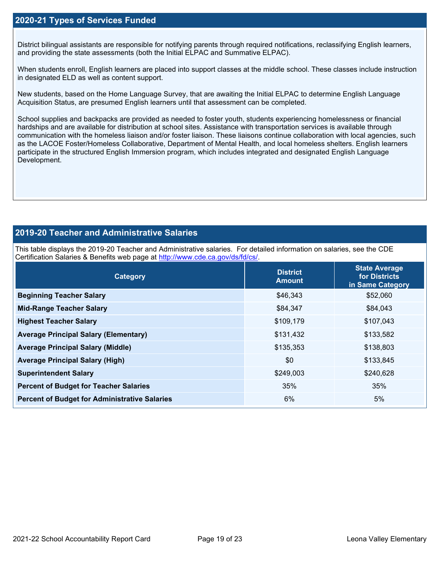## **2020-21 Types of Services Funded**

District bilingual assistants are responsible for notifying parents through required notifications, reclassifying English learners, and providing the state assessments (both the Initial ELPAC and Summative ELPAC).

When students enroll, English learners are placed into support classes at the middle school. These classes include instruction in designated ELD as well as content support.

New students, based on the Home Language Survey, that are awaiting the Initial ELPAC to determine English Language Acquisition Status, are presumed English learners until that assessment can be completed.

School supplies and backpacks are provided as needed to foster youth, students experiencing homelessness or financial hardships and are available for distribution at school sites. Assistance with transportation services is available through communication with the homeless liaison and/or foster liaison. These liaisons continue collaboration with local agencies, such as the LACOE Foster/Homeless Collaborative, Department of Mental Health, and local homeless shelters. English learners participate in the structured English Immersion program, which includes integrated and designated English Language Development.

## **2019-20 Teacher and Administrative Salaries**

This table displays the 2019-20 Teacher and Administrative salaries. For detailed information on salaries, see the CDE Certification Salaries & Benefits web page at [http://www.cde.ca.gov/ds/fd/cs/.](http://www.cde.ca.gov/ds/fd/cs/)

| Category                                             | <b>District</b><br><b>Amount</b> | <b>State Average</b><br>for Districts<br>in Same Category |
|------------------------------------------------------|----------------------------------|-----------------------------------------------------------|
| <b>Beginning Teacher Salary</b>                      | \$46,343                         | \$52,060                                                  |
| <b>Mid-Range Teacher Salary</b>                      | \$84,347                         | \$84,043                                                  |
| <b>Highest Teacher Salary</b>                        | \$109,179                        | \$107,043                                                 |
| <b>Average Principal Salary (Elementary)</b>         | \$131,432                        | \$133,582                                                 |
| <b>Average Principal Salary (Middle)</b>             | \$135,353                        | \$138,803                                                 |
| <b>Average Principal Salary (High)</b>               | \$0                              | \$133,845                                                 |
| <b>Superintendent Salary</b>                         | \$249,003                        | \$240,628                                                 |
| <b>Percent of Budget for Teacher Salaries</b>        | 35%                              | 35%                                                       |
| <b>Percent of Budget for Administrative Salaries</b> | 6%                               | 5%                                                        |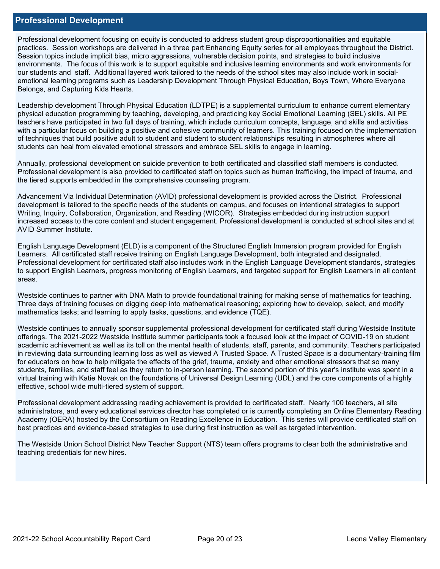### **Professional Development**

Professional development focusing on equity is conducted to address student group disproportionalities and equitable practices. Session workshops are delivered in a three part Enhancing Equity series for all employees throughout the District. Session topics include implicit bias, micro aggressions, vulnerable decision points, and strategies to build inclusive environments. The focus of this work is to support equitable and inclusive learning environments and work environments for our students and staff. Additional layered work tailored to the needs of the school sites may also include work in socialemotional learning programs such as Leadership Development Through Physical Education, Boys Town, Where Everyone Belongs, and Capturing Kids Hearts.

Leadership development Through Physical Education (LDTPE) is a supplemental curriculum to enhance current elementary physical education programming by teaching, developing, and practicing key Social Emotional Learning (SEL) skills. All PE teachers have participated in two full days of training, which include curriculum concepts, language, and skills and activities with a particular focus on building a positive and cohesive community of learners. This training focused on the implementation of techniques that build positive adult to student and student to student relationships resulting in atmospheres where all students can heal from elevated emotional stressors and embrace SEL skills to engage in learning.

Annually, professional development on suicide prevention to both certificated and classified staff members is conducted. Professional development is also provided to certificated staff on topics such as human trafficking, the impact of trauma, and the tiered supports embedded in the comprehensive counseling program.

Advancement Via Individual Determination (AVID) professional development is provided across the District. Professional development is tailored to the specific needs of the students on campus, and focuses on intentional strategies to support Writing, Inquiry, Collaboration, Organization, and Reading (WICOR). Strategies embedded during instruction support increased access to the core content and student engagement. Professional development is conducted at school sites and at AVID Summer Institute.

English Language Development (ELD) is a component of the Structured English Immersion program provided for English Learners. All certificated staff receive training on English Language Development, both integrated and designated. Professional development for certificated staff also includes work in the English Language Development standards, strategies to support English Learners, progress monitoring of English Learners, and targeted support for English Learners in all content areas.

Westside continues to partner with DNA Math to provide foundational training for making sense of mathematics for teaching. Three days of training focuses on digging deep into mathematical reasoning; exploring how to develop, select, and modify mathematics tasks; and learning to apply tasks, questions, and evidence (TQE).

Westside continues to annually sponsor supplemental professional development for certificated staff during Westside Institute offerings. The 2021-2022 Westside Institute summer participants took a focused look at the impact of COVID-19 on student academic achievement as well as its toll on the mental health of students, staff, parents, and community. Teachers participated in reviewing data surrounding learning loss as well as viewed A Trusted Space. A Trusted Space is a documentary-training film for educators on how to help mitigate the effects of the grief, trauma, anxiety and other emotional stressors that so many students, families, and staff feel as they return to in-person learning. The second portion of this year's institute was spent in a virtual training with Katie Novak on the foundations of Universal Design Learning (UDL) and the core components of a highly effective, school wide multi-tiered system of support.

Professional development addressing reading achievement is provided to certificated staff. Nearly 100 teachers, all site administrators, and every educational services director has completed or is currently completing an Online Elementary Reading Academy (OERA) hosted by the Consortium on Reading Excellence in Education. This series will provide certificated staff on best practices and evidence-based strategies to use during first instruction as well as targeted intervention.

The Westside Union School District New Teacher Support (NTS) team offers programs to clear both the administrative and teaching credentials for new hires.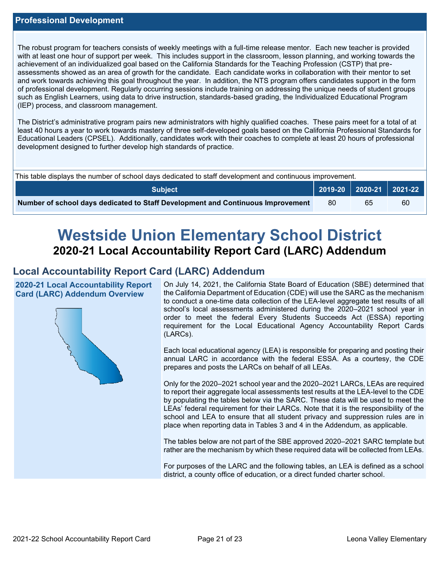The robust program for teachers consists of weekly meetings with a full-time release mentor. Each new teacher is provided with at least one hour of support per week. This includes support in the classroom, lesson planning, and working towards the achievement of an individualized goal based on the California Standards for the Teaching Profession (CSTP) that preassessments showed as an area of growth for the candidate. Each candidate works in collaboration with their mentor to set and work towards achieving this goal throughout the year. In addition, the NTS program offers candidates support in the form of professional development. Regularly occurring sessions include training on addressing the unique needs of student groups such as English Learners, using data to drive instruction, standards-based grading, the Individualized Educational Program (IEP) process, and classroom management.

The District's administrative program pairs new administrators with highly qualified coaches. These pairs meet for a total of at least 40 hours a year to work towards mastery of three self-developed goals based on the California Professional Standards for Educational Leaders (CPSEL). Additionally, candidates work with their coaches to complete at least 20 hours of professional development designed to further develop high standards of practice.

| This table displays the number of school days dedicated to staff development and continuous improvement. |     |    |                             |  |  |
|----------------------------------------------------------------------------------------------------------|-----|----|-----------------------------|--|--|
| <b>Subject</b>                                                                                           |     |    | 2019-20   2020-21   2021-22 |  |  |
| Number of school days dedicated to Staff Development and Continuous Improvement                          | -80 | 65 | 60                          |  |  |

# **Westside Union Elementary School District 2020-21 Local Accountability Report Card (LARC) Addendum**

## **Local Accountability Report Card (LARC) Addendum**

**2020-21 Local Accountability Report Card (LARC) Addendum Overview**



On July 14, 2021, the California State Board of Education (SBE) determined that the California Department of Education (CDE) will use the SARC as the mechanism to conduct a one-time data collection of the LEA-level aggregate test results of all school's local assessments administered during the 2020–2021 school year in order to meet the federal Every Students Succeeds Act (ESSA) reporting requirement for the Local Educational Agency Accountability Report Cards (LARCs).

Each local educational agency (LEA) is responsible for preparing and posting their annual LARC in accordance with the federal ESSA. As a courtesy, the CDE prepares and posts the LARCs on behalf of all LEAs.

Only for the 2020–2021 school year and the 2020–2021 LARCs, LEAs are required to report their aggregate local assessments test results at the LEA-level to the CDE by populating the tables below via the SARC. These data will be used to meet the LEAs' federal requirement for their LARCs. Note that it is the responsibility of the school and LEA to ensure that all student privacy and suppression rules are in place when reporting data in Tables 3 and 4 in the Addendum, as applicable.

The tables below are not part of the SBE approved 2020–2021 SARC template but rather are the mechanism by which these required data will be collected from LEAs.

For purposes of the LARC and the following tables, an LEA is defined as a school district, a county office of education, or a direct funded charter school.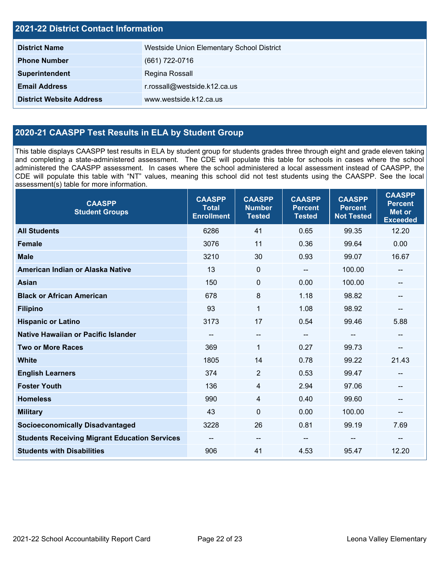| <b>2021-22 District Contact Information</b> |                                           |  |  |  |
|---------------------------------------------|-------------------------------------------|--|--|--|
| <b>District Name</b>                        | Westside Union Elementary School District |  |  |  |
| <b>Phone Number</b>                         | (661) 722-0716                            |  |  |  |
| Superintendent                              | Regina Rossall                            |  |  |  |
| <b>Email Address</b>                        | r.rossall@westside.k12.ca.us              |  |  |  |
| <b>District Website Address</b>             | www.westside.k12.ca.us                    |  |  |  |

## **2020-21 CAASPP Test Results in ELA by Student Group**

This table displays CAASPP test results in ELA by student group for students grades three through eight and grade eleven taking and completing a state-administered assessment. The CDE will populate this table for schools in cases where the school administered the CAASPP assessment. In cases where the school administered a local assessment instead of CAASPP, the CDE will populate this table with "NT" values, meaning this school did not test students using the CAASPP. See the local assessment(s) table for more information.

| <b>CAASPP</b><br><b>Student Groups</b>               | <b>CAASPP</b><br><b>Total</b><br><b>Enrollment</b> | <b>CAASPP</b><br><b>Number</b><br><b>Tested</b> | <b>CAASPP</b><br><b>Percent</b><br><b>Tested</b> | <b>CAASPP</b><br><b>Percent</b><br><b>Not Tested</b> | <b>CAASPP</b><br><b>Percent</b><br><b>Met or</b><br><b>Exceeded</b> |
|------------------------------------------------------|----------------------------------------------------|-------------------------------------------------|--------------------------------------------------|------------------------------------------------------|---------------------------------------------------------------------|
| <b>All Students</b>                                  | 6286                                               | 41                                              | 0.65                                             | 99.35                                                | 12.20                                                               |
| <b>Female</b>                                        | 3076                                               | 11                                              | 0.36                                             | 99.64                                                | 0.00                                                                |
| <b>Male</b>                                          | 3210                                               | 30                                              | 0.93                                             | 99.07                                                | 16.67                                                               |
| American Indian or Alaska Native                     | 13                                                 | $\mathbf 0$                                     | $\sim$ $\sim$                                    | 100.00                                               | --                                                                  |
| <b>Asian</b>                                         | 150                                                | $\pmb{0}$                                       | 0.00                                             | 100.00                                               |                                                                     |
| <b>Black or African American</b>                     | 678                                                | 8                                               | 1.18                                             | 98.82                                                | --                                                                  |
| <b>Filipino</b>                                      | 93                                                 | $\mathbf{1}$                                    | 1.08                                             | 98.92                                                | --                                                                  |
| <b>Hispanic or Latino</b>                            | 3173                                               | 17                                              | 0.54                                             | 99.46                                                | 5.88                                                                |
| <b>Native Hawaiian or Pacific Islander</b>           | --                                                 | $\overline{\phantom{a}}$                        | $\overline{\phantom{a}}$                         | $-$                                                  | $- -$                                                               |
| <b>Two or More Races</b>                             | 369                                                | $\mathbf{1}$                                    | 0.27                                             | 99.73                                                | --                                                                  |
| <b>White</b>                                         | 1805                                               | 14                                              | 0.78                                             | 99.22                                                | 21.43                                                               |
| <b>English Learners</b>                              | 374                                                | $\overline{2}$                                  | 0.53                                             | 99.47                                                | --                                                                  |
| <b>Foster Youth</b>                                  | 136                                                | 4                                               | 2.94                                             | 97.06                                                |                                                                     |
| <b>Homeless</b>                                      | 990                                                | $\overline{4}$                                  | 0.40                                             | 99.60                                                | --                                                                  |
| <b>Military</b>                                      | 43                                                 | $\mathbf 0$                                     | 0.00                                             | 100.00                                               | --                                                                  |
| <b>Socioeconomically Disadvantaged</b>               | 3228                                               | 26                                              | 0.81                                             | 99.19                                                | 7.69                                                                |
| <b>Students Receiving Migrant Education Services</b> | --                                                 | $\overline{\phantom{a}}$                        |                                                  | --                                                   | --                                                                  |
| <b>Students with Disabilities</b>                    | 906                                                | 41                                              | 4.53                                             | 95.47                                                | 12.20                                                               |